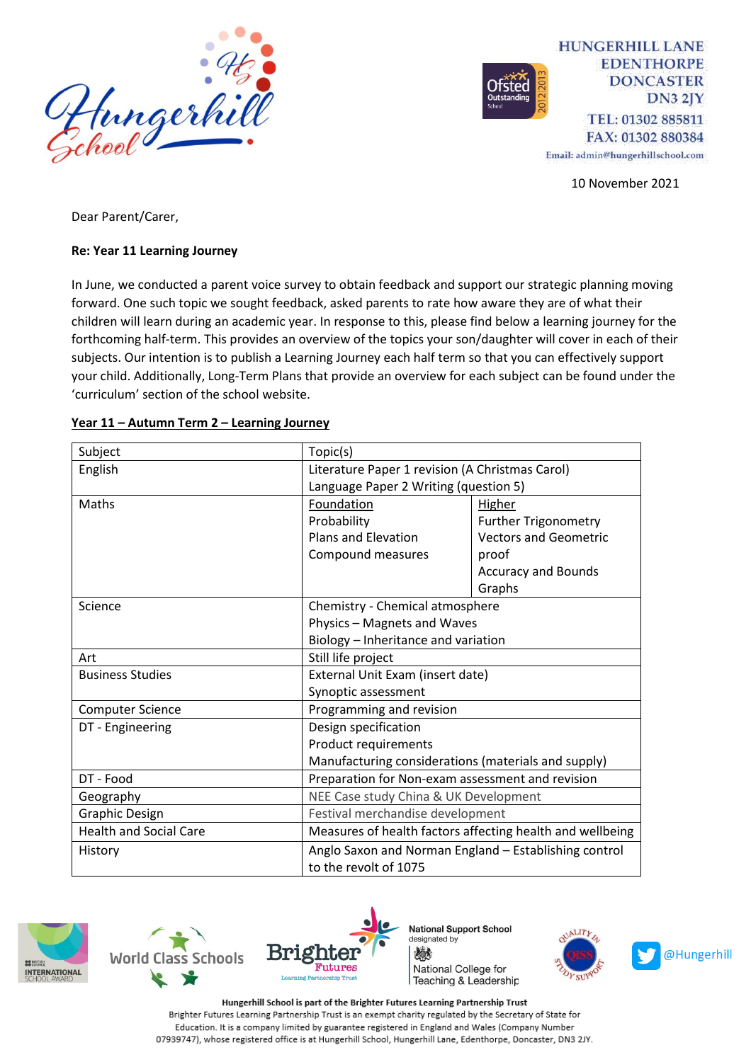

**HUNGERHILL LANE EDENTHORPE DONCASTER**  $DN32IY$ TEL: 01302 885811 FAX: 01302 880384

Email: admin@hungerhillschool.com

10 November 2021

Dear Parent/Carer,

#### **Re: Year 11 Learning Journey**

In June, we conducted a parent voice survey to obtain feedback and support our strategic planning moving forward. One such topic we sought feedback, asked parents to rate how aware they are of what their children will learn during an academic year. In response to this, please find below a learning journey for the forthcoming half-term. This provides an overview of the topics your son/daughter will cover in each of their subjects. Our intention is to publish a Learning Journey each half term so that you can effectively support your child. Additionally, Long-Term Plans that provide an overview for each subject can be found under the 'curriculum' section of the school website.

| Subject                       | Topic(s)                                                  |                              |
|-------------------------------|-----------------------------------------------------------|------------------------------|
| English                       | Literature Paper 1 revision (A Christmas Carol)           |                              |
|                               | Language Paper 2 Writing (question 5)                     |                              |
| Maths                         | Foundation                                                | <b>Higher</b>                |
|                               | Probability                                               | <b>Further Trigonometry</b>  |
|                               | <b>Plans and Elevation</b>                                | <b>Vectors and Geometric</b> |
|                               | Compound measures                                         | proof                        |
|                               |                                                           | <b>Accuracy and Bounds</b>   |
|                               |                                                           | Graphs                       |
| Science                       | Chemistry - Chemical atmosphere                           |                              |
|                               | Physics - Magnets and Waves                               |                              |
|                               | Biology - Inheritance and variation                       |                              |
| Art                           | Still life project                                        |                              |
| <b>Business Studies</b>       | External Unit Exam (insert date)                          |                              |
|                               | Synoptic assessment                                       |                              |
| <b>Computer Science</b>       | Programming and revision                                  |                              |
| DT - Engineering              | Design specification<br>Product requirements              |                              |
|                               |                                                           |                              |
|                               | Manufacturing considerations (materials and supply)       |                              |
| DT - Food                     | Preparation for Non-exam assessment and revision          |                              |
| Geography                     | NEE Case study China & UK Development                     |                              |
| <b>Graphic Design</b>         | Festival merchandise development                          |                              |
| <b>Health and Social Care</b> | Measures of health factors affecting health and wellbeing |                              |
| History                       | Anglo Saxon and Norman England - Establishing control     |                              |
|                               | to the revolt of 1075                                     |                              |

#### **Year 11 – Autumn Term 2 – Learning Journey**







**National Support School** designated by 燃 National College for Teaching & Leadership



Hungerhill School is part of the Brighter Futures Learning Partnership Trust Brighter Futures Learning Partnership Trust is an exempt charity regulated by the Secretary of State for Education. It is a company limited by guarantee registered in England and Wales (Company Number 07939747), whose registered office is at Hungerhill School, Hungerhill Lane, Edenthorpe, Doncaster, DN3 2JY.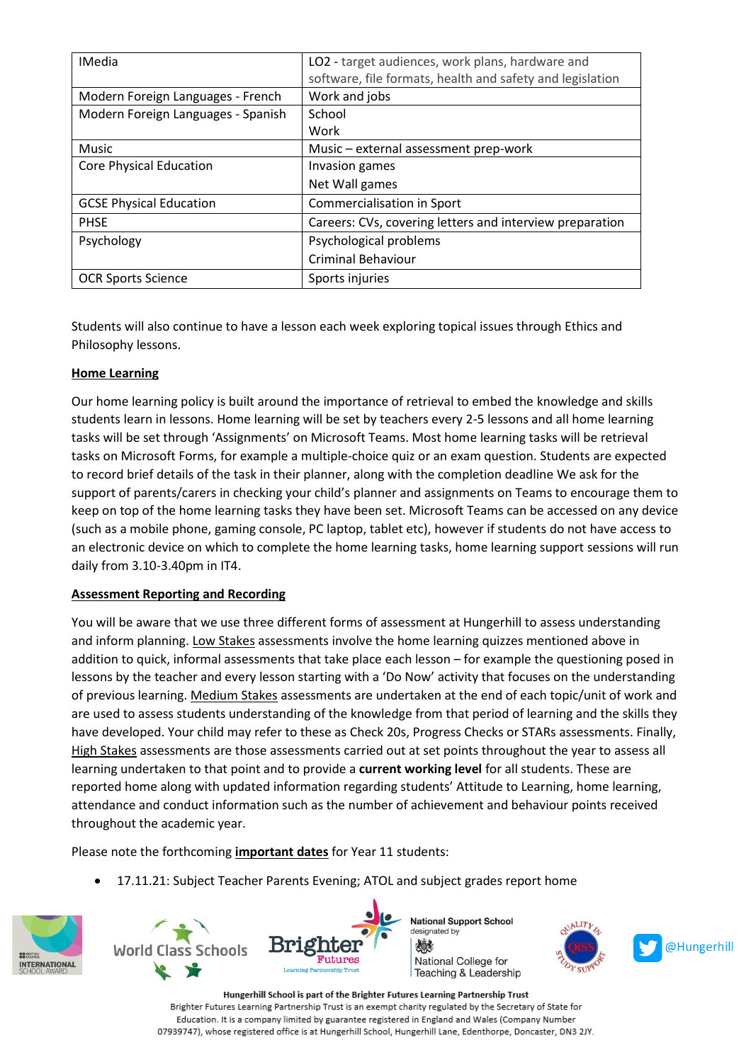| <b>IMedia</b>                      | LO2 - target audiences, work plans, hardware and<br>software, file formats, health and safety and legislation |  |
|------------------------------------|---------------------------------------------------------------------------------------------------------------|--|
| Modern Foreign Languages - French  | Work and jobs                                                                                                 |  |
| Modern Foreign Languages - Spanish | School                                                                                                        |  |
|                                    | Work                                                                                                          |  |
| Music                              | Music - external assessment prep-work                                                                         |  |
| <b>Core Physical Education</b>     | Invasion games                                                                                                |  |
|                                    | Net Wall games                                                                                                |  |
| <b>GCSE Physical Education</b>     | Commercialisation in Sport                                                                                    |  |
| <b>PHSE</b>                        | Careers: CVs, covering letters and interview preparation                                                      |  |
| Psychology                         | Psychological problems                                                                                        |  |
|                                    | <b>Criminal Behaviour</b>                                                                                     |  |
| <b>OCR Sports Science</b>          | Sports injuries                                                                                               |  |

Students will also continue to have a lesson each week exploring topical issues through Ethics and Philosophy lessons.

# **Home Learning**

Our home learning policy is built around the importance of retrieval to embed the knowledge and skills students learn in lessons. Home learning will be set by teachers every 2-5 lessons and all home learning tasks will be set through 'Assignments' on Microsoft Teams. Most home learning tasks will be retrieval tasks on Microsoft Forms, for example a multiple-choice quiz or an exam question. Students are expected to record brief details of the task in their planner, along with the completion deadline We ask for the support of parents/carers in checking your child's planner and assignments on Teams to encourage them to keep on top of the home learning tasks they have been set. Microsoft Teams can be accessed on any device (such as a mobile phone, gaming console, PC laptop, tablet etc), however if students do not have access to an electronic device on which to complete the home learning tasks, home learning support sessions will run daily from 3.10-3.40pm in IT4.

### **Assessment Reporting and Recording**

You will be aware that we use three different forms of assessment at Hungerhill to assess understanding and inform planning. Low Stakes assessments involve the home learning quizzes mentioned above in addition to quick, informal assessments that take place each lesson – for example the questioning posed in lessons by the teacher and every lesson starting with a 'Do Now' activity that focuses on the understanding of previous learning. Medium Stakes assessments are undertaken at the end of each topic/unit of work and are used to assess students understanding of the knowledge from that period of learning and the skills they have developed. Your child may refer to these as Check 20s, Progress Checks or STARs assessments. Finally, High Stakes assessments are those assessments carried out at set points throughout the year to assess all learning undertaken to that point and to provide a **current working level** for all students. These are reported home along with updated information regarding students' Attitude to Learning, home learning, attendance and conduct information such as the number of achievement and behaviour points received throughout the academic year.

Please note the forthcoming **important dates** for Year 11 students:

• 17.11.21: Subject Teacher Parents Evening; ATOL and subject grades report home







Hungerhill School is part of the Brighter Futures Learning Partnership Trust Brighter Futures Learning Partnership Trust is an exempt charity regulated by the Secretary of State for Education. It is a company limited by guarantee registered in England and Wales (Company Number 07939747), whose registered office is at Hungerhill School, Hungerhill Lane, Edenthorpe, Doncaster, DN3 2JY.